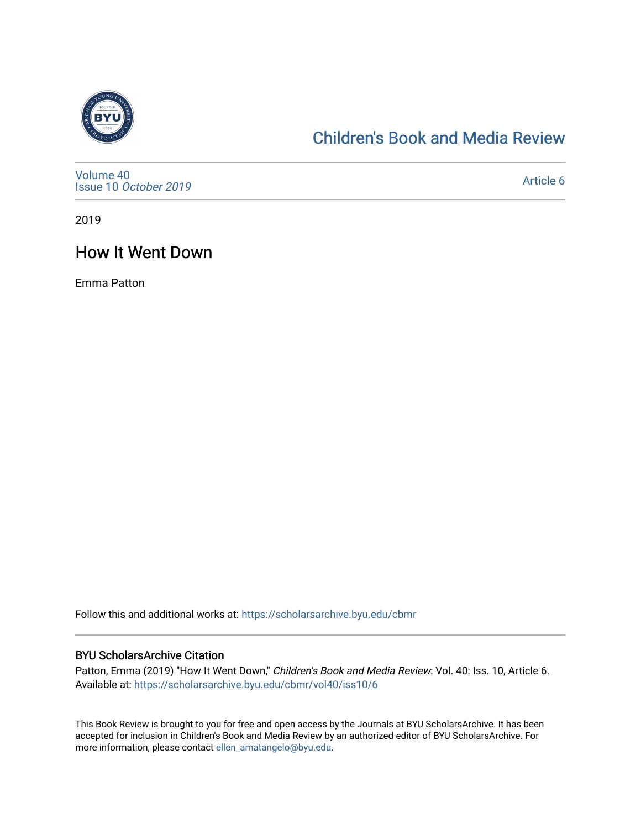

# [Children's Book and Media Review](https://scholarsarchive.byu.edu/cbmr)

[Volume 40](https://scholarsarchive.byu.edu/cbmr/vol40) Issue 10 [October 2019](https://scholarsarchive.byu.edu/cbmr/vol40/iss10)

[Article 6](https://scholarsarchive.byu.edu/cbmr/vol40/iss10/6) 

2019

## How It Went Down

Emma Patton

Follow this and additional works at: [https://scholarsarchive.byu.edu/cbmr](https://scholarsarchive.byu.edu/cbmr?utm_source=scholarsarchive.byu.edu%2Fcbmr%2Fvol40%2Fiss10%2F6&utm_medium=PDF&utm_campaign=PDFCoverPages) 

#### BYU ScholarsArchive Citation

Patton, Emma (2019) "How It Went Down," Children's Book and Media Review: Vol. 40: Iss. 10, Article 6. Available at: [https://scholarsarchive.byu.edu/cbmr/vol40/iss10/6](https://scholarsarchive.byu.edu/cbmr/vol40/iss10/6?utm_source=scholarsarchive.byu.edu%2Fcbmr%2Fvol40%2Fiss10%2F6&utm_medium=PDF&utm_campaign=PDFCoverPages)

This Book Review is brought to you for free and open access by the Journals at BYU ScholarsArchive. It has been accepted for inclusion in Children's Book and Media Review by an authorized editor of BYU ScholarsArchive. For more information, please contact [ellen\\_amatangelo@byu.edu.](mailto:ellen_amatangelo@byu.edu)